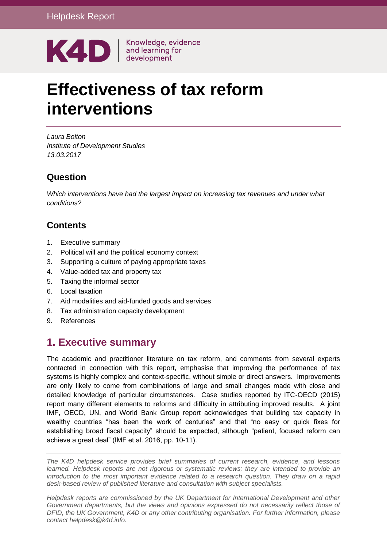

# **Effectiveness of tax reform interventions**

*Laura Bolton Institute of Development Studies 13.03.2017*

### **Question**

*Which interventions have had the largest impact on increasing tax revenues and under what conditions?*

# **Contents**

- 1. [Executive summary](#page-0-0)
- 2. [Political will and the political economy context](#page-2-0)
- 3. [Supporting a culture of paying appropriate taxes](#page-5-0)
- 4. [Value-added tax and property tax](#page-7-0)
- 5. [Taxing the informal sector](#page-8-0)
- 6. [Local taxation](#page-10-0)
- 7. [Aid modalities and aid-funded goods and services](#page-12-0)
- 8. [Tax administration capacity development](#page-14-0)
- <span id="page-0-0"></span>9. [References](#page-17-0)

# **1. Executive summary**

The academic and practitioner literature on tax reform, and comments from several experts contacted in connection with this report, emphasise that improving the performance of tax systems is highly complex and context-specific, without simple or direct answers. Improvements are only likely to come from combinations of large and small changes made with close and detailed knowledge of particular circumstances. Case studies reported by ITC-OECD (2015) report many different elements to reforms and difficulty in attributing improved results. A joint IMF, OECD, UN, and World Bank Group report acknowledges that building tax capacity in wealthy countries "has been the work of centuries" and that "no easy or quick fixes for establishing broad fiscal capacity" should be expected, although "patient, focused reform can achieve a great deal" (IMF et al. 2016, pp. 10-11).

*The K4D helpdesk service provides brief summaries of current research, evidence, and lessons learned. Helpdesk reports are not rigorous or systematic reviews; they are intended to provide an introduction to the most important evidence related to a research question. They draw on a rapid desk-based review of published literature and consultation with subject specialists.* 

*Helpdesk reports are commissioned by the UK Department for International Development and other*  Government departments, but the views and opinions expressed do not necessarily reflect those of *DFID, the UK Government, K4D or any other contributing organisation. For further information, please contact helpdesk@k4d.info.*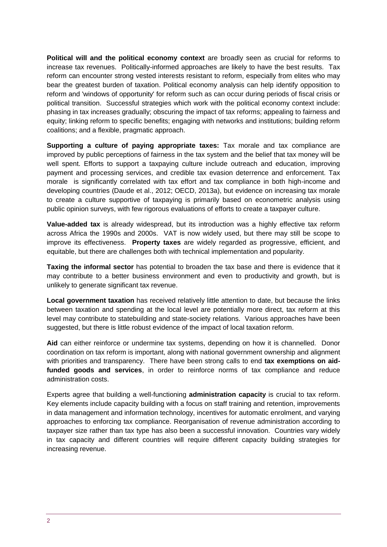**Political will and the political economy context** are broadly seen as crucial for reforms to increase tax revenues. Politically-informed approaches are likely to have the best results. Tax reform can encounter strong vested interests resistant to reform, especially from elites who may bear the greatest burden of taxation. Political economy analysis can help identify opposition to reform and 'windows of opportunity' for reform such as can occur during periods of fiscal crisis or political transition. Successful strategies which work with the political economy context include: phasing in tax increases gradually; obscuring the impact of tax reforms; appealing to fairness and equity; linking reform to specific benefits; engaging with networks and institutions; building reform coalitions; and a flexible, pragmatic approach.

**Supporting a culture of paying appropriate taxes:** Tax morale and tax compliance are improved by public perceptions of fairness in the tax system and the belief that tax money will be well spent. Efforts to support a taxpaying culture include outreach and education, improving payment and processing services, and credible tax evasion deterrence and enforcement. Tax morale is significantly correlated with tax effort and tax compliance in both high-income and developing countries (Daude et al., 2012; OECD, 2013a), but evidence on increasing tax morale to create a culture supportive of taxpaying is primarily based on econometric analysis using public opinion surveys, with few rigorous evaluations of efforts to create a taxpayer culture.

**Value-added tax** is already widespread, but its introduction was a highly effective tax reform across Africa the 1990s and 2000s. VAT is now widely used, but there may still be scope to improve its effectiveness. **Property taxes** are widely regarded as progressive, efficient, and equitable, but there are challenges both with technical implementation and popularity.

**Taxing the informal sector** has potential to broaden the tax base and there is evidence that it may contribute to a better business environment and even to productivity and growth, but is unlikely to generate significant tax revenue.

**Local government taxation** has received relatively little attention to date, but because the links between taxation and spending at the local level are potentially more direct, tax reform at this level may contribute to statebuilding and state-society relations. Various approaches have been suggested, but there is little robust evidence of the impact of local taxation reform.

**Aid** can either reinforce or undermine tax systems, depending on how it is channelled. Donor coordination on tax reform is important, along with national government ownership and alignment with priorities and transparency. There have been strong calls to end **tax exemptions on aidfunded goods and services**, in order to reinforce norms of tax compliance and reduce administration costs.

Experts agree that building a well-functioning **administration capacity** is crucial to tax reform. Key elements include capacity building with a focus on staff training and retention, improvements in data management and information technology, incentives for automatic enrolment, and varying approaches to enforcing tax compliance. Reorganisation of revenue administration according to taxpayer size rather than tax type has also been a successful innovation. Countries vary widely in tax capacity and different countries will require different capacity building strategies for increasing revenue.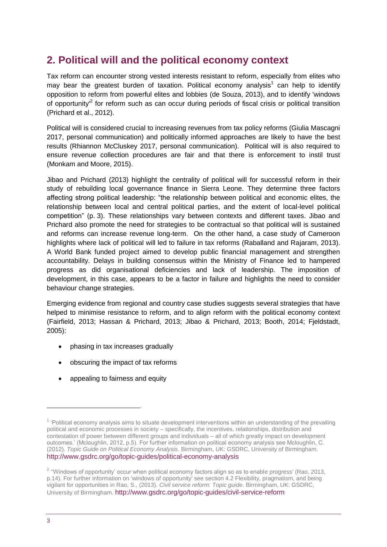# <span id="page-2-0"></span>**2. Political will and the political economy context**

Tax reform can encounter strong vested interests resistant to reform, especially from elites who may bear the greatest burden of taxation. Political economy analysis<sup>1</sup> can help to identify opposition to reform from powerful elites and lobbies (de Souza, 2013), and to identify 'windows of opportunity<sup>12</sup> for reform such as can occur during periods of fiscal crisis or political transition (Prichard et al., 2012).

Political will is considered crucial to increasing revenues from tax policy reforms (Giulia Mascagni 2017, personal communication) and politically informed approaches are likely to have the best results (Rhiannon McCluskey 2017, personal communication). Political will is also required to ensure revenue collection procedures are fair and that there is enforcement to instil trust (Monkam and Moore, 2015).

Jibao and Prichard (2013) highlight the centrality of political will for successful reform in their study of rebuilding local governance finance in Sierra Leone. They determine three factors affecting strong political leadership: "the relationship between political and economic elites, the relationship between local and central political parties, and the extent of local-level political competition" (p. 3). These relationships vary between contexts and different taxes. Jibao and Prichard also promote the need for strategies to be contractual so that political will is sustained and reforms can increase revenue long-term. On the other hand, a case study of Cameroon highlights where lack of political will led to failure in tax reforms (Raballand and Rajaram, 2013). A World Bank funded project aimed to develop public financial management and strengthen accountability. Delays in building consensus within the Ministry of Finance led to hampered progress as did organisational deficiencies and lack of leadership. The imposition of development, in this case, appears to be a factor in failure and highlights the need to consider behaviour change strategies.

Emerging evidence from regional and country case studies suggests several strategies that have helped to minimise resistance to reform, and to align reform with the political economy context (Fairfield, 2013; Hassan & Prichard, 2013; Jibao & Prichard, 2013; Booth, 2014; Fjeldstadt, 2005):

- phasing in tax increases gradually
- obscuring the impact of tax reforms
- appealing to fairness and equity

1

<sup>&</sup>lt;sup>1</sup> 'Political economy analysis aims to situate development interventions within an understanding of the prevailing political and economic processes in society – specifically, the incentives, relationships, distribution and contestation of power between different groups and individuals – all of which greatly impact on development outcomes.' (Mcloughlin, 2012, p.5). For further information on political economy analysis see Mcloughlin, C. (2012). *Topic Guide on Political Economy Analysis*. Birmingham, UK: GSDRC, University of Birmingham. <http://www.gsdrc.org/go/topic-guides/political-economy-analysis>

<sup>&</sup>lt;sup>2</sup> "Windows of opportunity' occur when political economy factors align so as to enable progress' (Rao, 2013, p.14). For further information on 'windows of opportunity' see section 4.2 Flexibility, pragmatism, and being vigilant for opportunities in Rao, S., (2013). *Civil service reform: Topic guide*. Birmingham, UK: GSDRC, University of Birmingham. <http://www.gsdrc.org/go/topic-guides/civil-service-reform>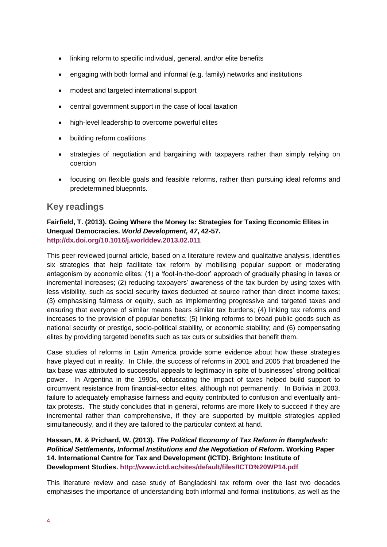- linking reform to specific individual, general, and/or elite benefits
- engaging with both formal and informal (e.g. family) networks and institutions
- modest and targeted international support
- central government support in the case of local taxation
- high-level leadership to overcome powerful elites
- building reform coalitions
- strategies of negotiation and bargaining with taxpayers rather than simply relying on coercion
- focusing on flexible goals and feasible reforms, rather than pursuing ideal reforms and predetermined blueprints.

### **Key readings**

#### **Fairfield, T. (2013). Going Where the Money Is: Strategies for Taxing Economic Elites in Unequal Democracies.** *World Development, 47***, 42-57. <http://dx.doi.org/10.1016/j.worlddev.2013.02.011>**

This peer-reviewed journal article, based on a literature review and qualitative analysis, identifies six strategies that help facilitate tax reform by mobilising popular support or moderating antagonism by economic elites: (1) a 'foot-in-the-door' approach of gradually phasing in taxes or incremental increases; (2) reducing taxpayers' awareness of the tax burden by using taxes with less visibility, such as social security taxes deducted at source rather than direct income taxes; (3) emphasising fairness or equity, such as implementing progressive and targeted taxes and ensuring that everyone of similar means bears similar tax burdens; (4) linking tax reforms and increases to the provision of popular benefits; (5) linking reforms to broad public goods such as national security or prestige, socio-political stability, or economic stability; and (6) compensating elites by providing targeted benefits such as tax cuts or subsidies that benefit them.

Case studies of reforms in Latin America provide some evidence about how these strategies have played out in reality. In Chile, the success of reforms in 2001 and 2005 that broadened the tax base was attributed to successful appeals to legitimacy in spite of businesses' strong political power. In Argentina in the 1990s, obfuscating the impact of taxes helped build support to circumvent resistance from financial-sector elites, although not permanently. In Bolivia in 2003, failure to adequately emphasise fairness and equity contributed to confusion and eventually antitax protests. The study concludes that in general, reforms are more likely to succeed if they are incremental rather than comprehensive, if they are supported by multiple strategies applied simultaneously, and if they are tailored to the particular context at hand.

#### **Hassan, M. & Prichard, W. (2013).** *The Political Economy of Tax Reform in Bangladesh: Political Settlements, Informal Institutions and the Negotiation of Reform***. Working Paper 14. International Centre for Tax and Development (ICTD). Brighton: Institute of Development Studies.<http://www.ictd.ac/sites/default/files/ICTD%20WP14.pdf>**

This literature review and case study of Bangladeshi tax reform over the last two decades emphasises the importance of understanding both informal and formal institutions, as well as the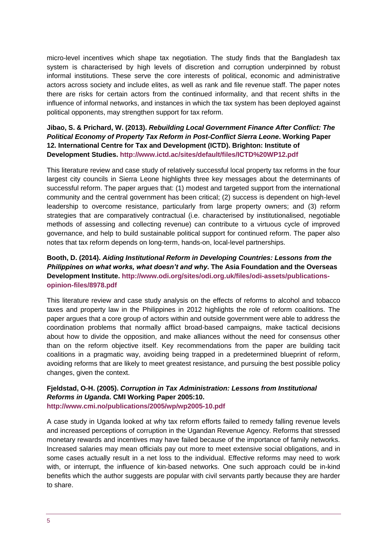micro-level incentives which shape tax negotiation. The study finds that the Bangladesh tax system is characterised by high levels of discretion and corruption underpinned by robust informal institutions. These serve the core interests of political, economic and administrative actors across society and include elites, as well as rank and file revenue staff. The paper notes there are risks for certain actors from the continued informality, and that recent shifts in the influence of informal networks, and instances in which the tax system has been deployed against political opponents, may strengthen support for tax reform.

#### **Jibao, S. & Prichard, W. (2013).** *Rebuilding Local Government Finance After Conflict: The Political Economy of Property Tax Reform in Post-Conflict Sierra Leone***. Working Paper 12. International Centre for Tax and Development (ICTD). Brighton: Institute of Development Studies.<http://www.ictd.ac/sites/default/files/ICTD%20WP12.pdf>**

This literature review and case study of relatively successful local property tax reforms in the four largest city councils in Sierra Leone highlights three key messages about the determinants of successful reform. The paper argues that: (1) modest and targeted support from the international community and the central government has been critical; (2) success is dependent on high-level leadership to overcome resistance, particularly from large property owners; and (3) reform strategies that are comparatively contractual (i.e. characterised by institutionalised, negotiable methods of assessing and collecting revenue) can contribute to a virtuous cycle of improved governance, and help to build sustainable political support for continued reform. The paper also notes that tax reform depends on long-term, hands-on, local-level partnerships.

#### **Booth, D. (2014).** *Aiding Institutional Reform in Developing Countries: Lessons from the Philippines on what works, what doesn't and why***. The Asia Foundation and the Overseas Development Institute. [http://www.odi.org/sites/odi.org.uk/files/odi-assets/publications](http://www.odi.org/sites/odi.org.uk/files/odi-assets/publications-opinion-files/8978.pdf)[opinion-files/8978.pdf](http://www.odi.org/sites/odi.org.uk/files/odi-assets/publications-opinion-files/8978.pdf)**

This literature review and case study analysis on the effects of reforms to alcohol and tobacco taxes and property law in the Philippines in 2012 highlights the role of reform coalitions. The paper argues that a core group of actors within and outside government were able to address the coordination problems that normally afflict broad-based campaigns, make tactical decisions about how to divide the opposition, and make alliances without the need for consensus other than on the reform objective itself. Key recommendations from the paper are building tacit coalitions in a pragmatic way, avoiding being trapped in a predetermined blueprint of reform, avoiding reforms that are likely to meet greatest resistance, and pursuing the best possible policy changes, given the context.

#### **Fjeldstad, O-H. (2005).** *Corruption in Tax Administration: Lessons from Institutional Reforms in Uganda***. CMI Working Paper 2005:10. <http://www.cmi.no/publications/2005/wp/wp2005-10.pdf>**

A case study in Uganda looked at why tax reform efforts failed to remedy falling revenue levels and increased perceptions of corruption in the Ugandan Revenue Agency. Reforms that stressed monetary rewards and incentives may have failed because of the importance of family networks. Increased salaries may mean officials pay out more to meet extensive social obligations, and in some cases actually result in a net loss to the individual. Effective reforms may need to work with, or interrupt, the influence of kin-based networks. One such approach could be in-kind benefits which the author suggests are popular with civil servants partly because they are harder to share.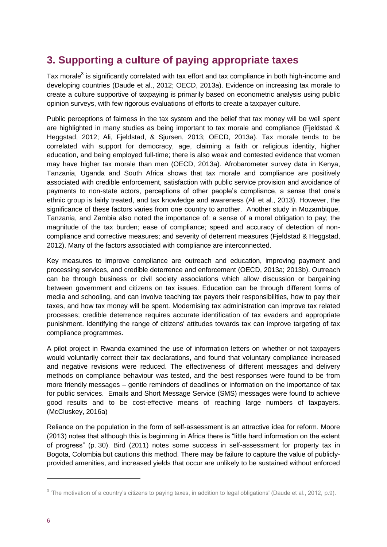# <span id="page-5-0"></span>**3. Supporting a culture of paying appropriate taxes**

Tax morale<sup>3</sup> is significantly correlated with tax effort and tax compliance in both high-income and developing countries (Daude et al., 2012; OECD, 2013a). Evidence on increasing tax morale to create a culture supportive of taxpaying is primarily based on econometric analysis using public opinion surveys, with few rigorous evaluations of efforts to create a taxpayer culture.

Public perceptions of fairness in the tax system and the belief that tax money will be well spent are highlighted in many studies as being important to tax morale and compliance (Fjeldstad & Heggstad, 2012; Ali, Fjeldstad, & Sjursen, 2013; OECD, 2013a). Tax morale tends to be correlated with support for democracy, age, claiming a faith or religious identity, higher education, and being employed full-time; there is also weak and contested evidence that women may have higher tax morale than men (OECD, 2013a). Afrobarometer survey data in Kenya, Tanzania, Uganda and South Africa shows that tax morale and compliance are positively associated with credible enforcement, satisfaction with public service provision and avoidance of payments to non-state actors, perceptions of other people's compliance, a sense that one's ethnic group is fairly treated, and tax knowledge and awareness (Ali et al., 2013). However, the significance of these factors varies from one country to another. Another study in Mozambique, Tanzania, and Zambia also noted the importance of: a sense of a moral obligation to pay; the magnitude of the tax burden; ease of compliance; speed and accuracy of detection of noncompliance and corrective measures; and severity of deterrent measures (Fjeldstad & Heggstad, 2012). Many of the factors associated with compliance are interconnected.

Key measures to improve compliance are outreach and education, improving payment and processing services, and credible deterrence and enforcement (OECD, 2013a; 2013b). Outreach can be through business or civil society associations which allow discussion or bargaining between government and citizens on tax issues. Education can be through different forms of media and schooling, and can involve teaching tax payers their responsibilities, how to pay their taxes, and how tax money will be spent. Modernising tax administration can improve tax related processes; credible deterrence requires accurate identification of tax evaders and appropriate punishment. Identifying the range of citizens' attitudes towards tax can improve targeting of tax compliance programmes.

A pilot project in Rwanda examined the use of information letters on whether or not taxpayers would voluntarily correct their tax declarations, and found that voluntary compliance increased and negative revisions were reduced. The effectiveness of different messages and delivery methods on compliance behaviour was tested, and the best responses were found to be from more friendly messages – gentle reminders of deadlines or information on the importance of tax for public services. Emails and Short Message Service (SMS) messages were found to achieve good results and to be cost-effective means of reaching large numbers of taxpayers. (McCluskey, 2016a)

Reliance on the population in the form of self-assessment is an attractive idea for reform. Moore (2013) notes that although this is beginning in Africa there is "little hard information on the extent of progress" (p. 30). Bird (2011) notes some success in self-assessment for property tax in Bogota, Colombia but cautions this method. There may be failure to capture the value of publiclyprovided amenities, and increased yields that occur are unlikely to be sustained without enforced

1

 $3$  'The motivation of a country's citizens to paying taxes, in addition to legal obligations' (Daude et al., 2012, p.9).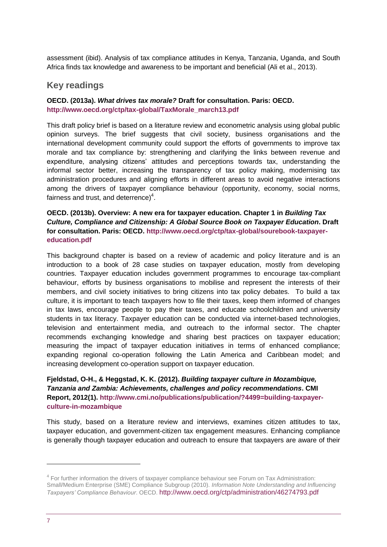assessment (ibid). Analysis of tax compliance attitudes in Kenya, Tanzania, Uganda, and South Africa finds tax knowledge and awareness to be important and beneficial (Ali et al., 2013).

### **Key readings**

#### **OECD. (2013a).** *What drives tax morale?* **Draft for consultation. Paris: OECD. [http://www.oecd.org/ctp/tax-global/TaxMorale\\_march13.pdf](http://www.oecd.org/ctp/tax-global/TaxMorale_march13.pdf)**

This draft policy brief is based on a literature review and econometric analysis using global public opinion surveys. The brief suggests that civil society, business organisations and the international development community could support the efforts of governments to improve tax morale and tax compliance by: strengthening and clarifying the links between revenue and expenditure, analysing citizens' attitudes and perceptions towards tax, understanding the informal sector better, increasing the transparency of tax policy making, modernising tax administration procedures and aligning efforts in different areas to avoid negative interactions among the drivers of taxpayer compliance behaviour (opportunity, economy, social norms, fairness and trust, and deterrence) $4$ .

#### **OECD. (2013b). Overview: A new era for taxpayer education. Chapter 1 in** *Building Tax Culture, Compliance and Citizenship: A Global Source Book on Taxpayer Education***. Draft for consultation. Paris: OECD. [http://www.oecd.org/ctp/tax-global/sourebook-taxpayer](http://www.oecd.org/ctp/tax-global/sourebook-taxpayer-education.pdf)[education.pdf](http://www.oecd.org/ctp/tax-global/sourebook-taxpayer-education.pdf)**

This background chapter is based on a review of academic and policy literature and is an introduction to a book of 28 case studies on taxpayer education, mostly from developing countries. Taxpayer education includes government programmes to encourage tax-compliant behaviour, efforts by business organisations to mobilise and represent the interests of their members, and civil society initiatives to bring citizens into tax policy debates. To build a tax culture, it is important to teach taxpayers how to file their taxes, keep them informed of changes in tax laws, encourage people to pay their taxes, and educate schoolchildren and university students in tax literacy. Taxpayer education can be conducted via internet-based technologies, television and entertainment media, and outreach to the informal sector. The chapter recommends exchanging knowledge and sharing best practices on taxpayer education; measuring the impact of taxpayer education initiatives in terms of enhanced compliance; expanding regional co-operation following the Latin America and Caribbean model; and increasing development co-operation support on taxpayer education.

#### **Fjeldstad, O-H., & Heggstad, K. K. (2012).** *Building taxpayer culture in Mozambique, Tanzania and Zambia: Achievements, challenges and policy recommendations***. CMI Report, 2012(1). [http://www.cmi.no/publications/publication/?4499=building-taxpayer](http://www.cmi.no/publications/publication/?4499=building-taxpayer-culture-in-mozambique)[culture-in-mozambique](http://www.cmi.no/publications/publication/?4499=building-taxpayer-culture-in-mozambique)**

This study, based on a literature review and interviews, examines citizen attitudes to tax, taxpayer education, and government-citizen tax engagement measures. Enhancing compliance is generally though taxpayer education and outreach to ensure that taxpayers are aware of their

1

<sup>&</sup>lt;sup>4</sup> For further information the drivers of taxpayer compliance behaviour see Forum on Tax Administration: Small/Medium Enterprise (SME) Compliance Subgroup (2010). *Information Note Understanding and Influencing Taxpayers' Compliance Behaviour*. OECD. <http://www.oecd.org/ctp/administration/46274793.pdf>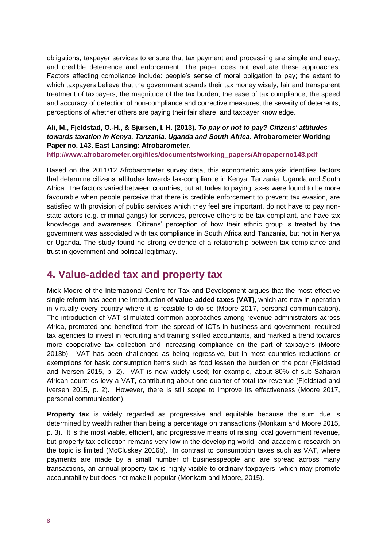obligations; taxpayer services to ensure that tax payment and processing are simple and easy; and credible deterrence and enforcement. The paper does not evaluate these approaches. Factors affecting compliance include: people's sense of moral obligation to pay; the extent to which taxpayers believe that the government spends their tax money wisely; fair and transparent treatment of taxpayers; the magnitude of the tax burden; the ease of tax compliance; the speed and accuracy of detection of non-compliance and corrective measures; the severity of deterrents; perceptions of whether others are paying their fair share; and taxpayer knowledge.

#### **Ali, M., Fjeldstad, O.-H., & Sjursen, I. H. (2013).** *To pay or not to pay? Citizens' attitudes towards taxation in Kenya, Tanzania, Uganda and South Africa***. Afrobarometer Working Paper no. 143. East Lansing: Afrobarometer.**

**[http://www.afrobarometer.org/files/documents/working\\_papers/Afropaperno143.pdf](http://www.afrobarometer.org/files/documents/working_papers/Afropaperno143.pdf)** 

Based on the 2011/12 Afrobarometer survey data, this econometric analysis identifies factors that determine citizens' attitudes towards tax-compliance in Kenya, Tanzania, Uganda and South Africa. The factors varied between countries, but attitudes to paying taxes were found to be more favourable when people perceive that there is credible enforcement to prevent tax evasion, are satisfied with provision of public services which they feel are important, do not have to pay nonstate actors (e.g. criminal gangs) for services, perceive others to be tax-compliant, and have tax knowledge and awareness. Citizens' perception of how their ethnic group is treated by the government was associated with tax compliance in South Africa and Tanzania, but not in Kenya or Uganda. The study found no strong evidence of a relationship between tax compliance and trust in government and political legitimacy.

### <span id="page-7-0"></span>**4. Value-added tax and property tax**

Mick Moore of the International Centre for Tax and Development argues that the most effective single reform has been the introduction of **value-added taxes (VAT)**, which are now in operation in virtually every country where it is feasible to do so (Moore 2017, personal communication). The introduction of VAT stimulated common approaches among revenue administrators across Africa, promoted and benefited from the spread of ICTs in business and government, required tax agencies to invest in recruiting and training skilled accountants, and marked a trend towards more cooperative tax collection and increasing compliance on the part of taxpayers (Moore 2013b). VAT has been challenged as being regressive, but in most countries reductions or exemptions for basic consumption items such as food lessen the burden on the poor (Fjeldstad and Iversen 2015, p. 2). VAT is now widely used; for example, about 80% of sub-Saharan African countries levy a VAT, contributing about one quarter of total tax revenue (Fjeldstad and Iversen 2015, p. 2). However, there is still scope to improve its effectiveness (Moore 2017, personal communication).

**Property tax** is widely regarded as progressive and equitable because the sum due is determined by wealth rather than being a percentage on transactions (Monkam and Moore 2015, p. 3). It is the most viable, efficient, and progressive means of raising local government revenue, but property tax collection remains very low in the developing world, and academic research on the topic is limited (McCluskey 2016b). In contrast to consumption taxes such as VAT, where payments are made by a small number of businesspeople and are spread across many transactions, an annual property tax is highly visible to ordinary taxpayers, which may promote accountability but does not make it popular (Monkam and Moore, 2015).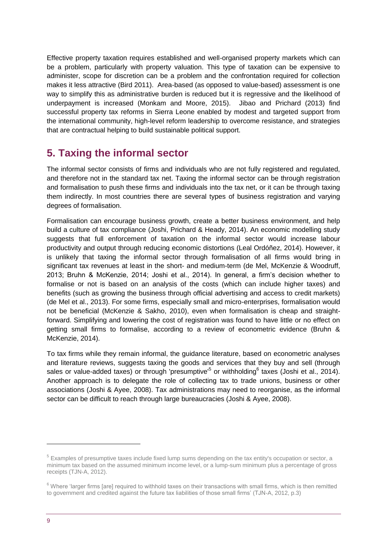Effective property taxation requires established and well-organised property markets which can be a problem, particularly with property valuation. This type of taxation can be expensive to administer, scope for discretion can be a problem and the confrontation required for collection makes it less attractive (Bird 2011). Area-based (as opposed to value-based) assessment is one way to simplify this as administrative burden is reduced but it is regressive and the likelihood of underpayment is increased (Monkam and Moore, 2015). Jibao and Prichard (2013) find successful property tax reforms in Sierra Leone enabled by modest and targeted support from the international community, high-level reform leadership to overcome resistance, and strategies that are contractual helping to build sustainable political support.

# <span id="page-8-0"></span>**5. Taxing the informal sector**

The informal sector consists of firms and individuals who are not fully registered and regulated, and therefore not in the standard tax net. Taxing the informal sector can be through registration and formalisation to push these firms and individuals into the tax net, or it can be through taxing them indirectly. In most countries there are several types of business registration and varying degrees of formalisation.

Formalisation can encourage business growth, create a better business environment, and help build a culture of tax compliance (Joshi, Prichard & Heady, 2014). An economic modelling study suggests that full enforcement of taxation on the informal sector would increase labour productivity and output through reducing economic distortions (Leal Ordóñez, 2014). However, it is unlikely that taxing the informal sector through formalisation of all firms would bring in significant tax revenues at least in the short- and medium-term (de Mel, McKenzie & Woodruff, 2013; Bruhn & McKenzie, 2014; Joshi et al., 2014). In general, a firm's decision whether to formalise or not is based on an analysis of the costs (which can include higher taxes) and benefits (such as growing the business through official advertising and access to credit markets) (de Mel et al., 2013). For some firms, especially small and micro-enterprises, formalisation would not be beneficial (McKenzie & Sakho, 2010), even when formalisation is cheap and straightforward. Simplifying and lowering the cost of registration was found to have little or no effect on getting small firms to formalise, according to a review of econometric evidence (Bruhn & McKenzie, 2014).

To tax firms while they remain informal, the guidance literature, based on econometric analyses and literature reviews, suggests taxing the goods and services that they buy and sell (through sales or value-added taxes) or through 'presumptive'<sup>5</sup> or withholding<sup>6</sup> taxes (Joshi et al., 2014). Another approach is to delegate the role of collecting tax to trade unions, business or other associations (Joshi & Ayee, 2008). Tax administrations may need to reorganise, as the informal sector can be difficult to reach through large bureaucracies (Joshi & Ayee, 2008).

-

<sup>&</sup>lt;sup>5</sup> Examples of presumptive taxes include fixed lump sums depending on the tax entity's occupation or sector, a minimum tax based on the assumed minimum income level, or a lump-sum minimum plus a percentage of gross receipts (TJN-A, 2012).

 $6$  Where 'larger firms [are] required to withhold taxes on their transactions with small firms, which is then remitted to government and credited against the future tax liabilities of those small firms' (TJN-A, 2012, p.3)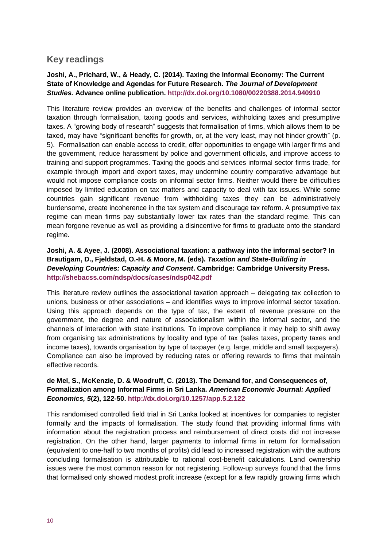### **Key readings**

#### **Joshi, A., Prichard, W., & Heady, C. (2014). Taxing the Informal Economy: The Current State of Knowledge and Agendas for Future Research.** *The Journal of Development Studies.* **Advance online publication.<http://dx.doi.org/10.1080/00220388.2014.940910>**

This literature review provides an overview of the benefits and challenges of informal sector taxation through formalisation, taxing goods and services, withholding taxes and presumptive taxes. A "growing body of research" suggests that formalisation of firms, which allows them to be taxed, may have "significant benefits for growth, or, at the very least, may not hinder growth" (p. 5). Formalisation can enable access to credit, offer opportunities to engage with larger firms and the government, reduce harassment by police and government officials, and improve access to training and support programmes. Taxing the goods and services informal sector firms trade, for example through import and export taxes, may undermine country comparative advantage but would not impose compliance costs on informal sector firms. Neither would there be difficulties imposed by limited education on tax matters and capacity to deal with tax issues. While some countries gain significant revenue from withholding taxes they can be administratively burdensome, create incoherence in the tax system and discourage tax reform. A presumptive tax regime can mean firms pay substantially lower tax rates than the standard regime. This can mean forgone revenue as well as providing a disincentive for firms to graduate onto the standard regime.

#### **Joshi, A. & Ayee, J. (2008). Associational taxation: a pathway into the informal sector? In Brautigam, D., Fjeldstad, O.-H. & Moore, M. (eds).** *Taxation and State-Building in Developing Countries: Capacity and Consent***. Cambridge: Cambridge University Press. <http://shebacss.com/ndsp/docs/cases/ndsp042.pdf>**

This literature review outlines the associational taxation approach – delegating tax collection to unions, business or other associations – and identifies ways to improve informal sector taxation. Using this approach depends on the type of tax, the extent of revenue pressure on the government, the degree and nature of associationalism within the informal sector, and the channels of interaction with state institutions. To improve compliance it may help to shift away from organising tax administrations by locality and type of tax (sales taxes, property taxes and income taxes), towards organisation by type of taxpayer (e.g. large, middle and small taxpayers). Compliance can also be improved by reducing rates or offering rewards to firms that maintain effective records.

#### **de Mel, S., McKenzie, D. & Woodruff, C. (2013). The Demand for, and Consequences of, Formalization among Informal Firms in Sri Lanka.** *American Economic Journal: Applied Economics, 5***(2), 122-50.<http://dx.doi.org/10.1257/app.5.2.122>**

This randomised controlled field trial in Sri Lanka looked at incentives for companies to register formally and the impacts of formalisation. The study found that providing informal firms with information about the registration process and reimbursement of direct costs did not increase registration. On the other hand, larger payments to informal firms in return for formalisation (equivalent to one-half to two months of profits) did lead to increased registration with the authors concluding formalisation is attributable to rational cost-benefit calculations. Land ownership issues were the most common reason for not registering. Follow-up surveys found that the firms that formalised only showed modest profit increase (except for a few rapidly growing firms which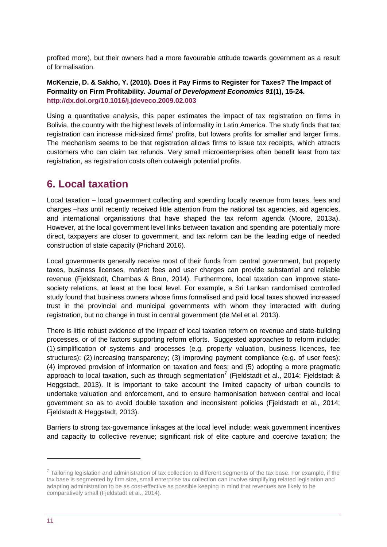profited more), but their owners had a more favourable attitude towards government as a result of formalisation.

#### **McKenzie, D. & Sakho, Y. (2010). Does it Pay Firms to Register for Taxes? The Impact of Formality on Firm Profitability.** *Journal of Development Economics 91***(1), 15-24. <http://dx.doi.org/10.1016/j.jdeveco.2009.02.003>**

Using a quantitative analysis, this paper estimates the impact of tax registration on firms in Bolivia, the country with the highest levels of informality in Latin America. The study finds that tax registration can increase mid-sized firms' profits, but lowers profits for smaller and larger firms. The mechanism seems to be that registration allows firms to issue tax receipts, which attracts customers who can claim tax refunds. Very small microenterprises often benefit least from tax registration, as registration costs often outweigh potential profits.

### <span id="page-10-0"></span>**6. Local taxation**

Local taxation – local government collecting and spending locally revenue from taxes, fees and charges –has until recently received little attention from the national tax agencies, aid agencies, and international organisations that have shaped the tax reform agenda (Moore, 2013a). However, at the local government level links between taxation and spending are potentially more direct, taxpayers are closer to government, and tax reform can be the leading edge of needed construction of state capacity (Prichard 2016).

Local governments generally receive most of their funds from central government, but property taxes, business licenses, market fees and user charges can provide substantial and reliable revenue (Fjeldstadt, Chambas & Brun, 2014). Furthermore, local taxation can improve statesociety relations, at least at the local level. For example, a Sri Lankan randomised controlled study found that business owners whose firms formalised and paid local taxes showed increased trust in the provincial and municipal governments with whom they interacted with during registration, but no change in trust in central government (de Mel et al. 2013).

There is little robust evidence of the impact of local taxation reform on revenue and state-building processes, or of the factors supporting reform efforts. Suggested approaches to reform include: (1) simplification of systems and processes (e.g. property valuation, business licences, fee structures); (2) increasing transparency; (3) improving payment compliance (e.g. of user fees); (4) improved provision of information on taxation and fees; and (5) adopting a more pragmatic approach to local taxation, such as through segmentation<sup>7</sup> (Fjeldstadt et al., 2014; Fjeldstadt & Heggstadt, 2013). It is important to take account the limited capacity of urban councils to undertake valuation and enforcement, and to ensure harmonisation between central and local government so as to avoid double taxation and inconsistent policies (Fjeldstadt et al., 2014; Fjeldstadt & Heggstadt, 2013).

Barriers to strong tax-governance linkages at the local level include: weak government incentives and capacity to collective revenue; significant risk of elite capture and coercive taxation; the

1

 $7$  Tailoring legislation and administration of tax collection to different segments of the tax base. For example, if the tax base is segmented by firm size, small enterprise tax collection can involve simplifying related legislation and adapting administration to be as cost-effective as possible keeping in mind that revenues are likely to be comparatively small (Fjeldstadt et al., 2014).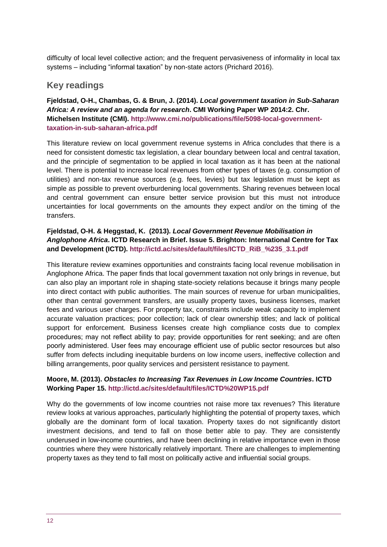difficulty of local level collective action; and the frequent pervasiveness of informality in local tax systems – including "informal taxation" by non-state actors (Prichard 2016).

### **Key readings**

#### **Fjeldstad, O-H., Chambas, G. & Brun, J. (2014).** *Local government taxation in Sub-Saharan Africa: A review and an agenda for research***. CMI Working Paper WP 2014:2. Chr. Michelsen Institute (CMI). [http://www.cmi.no/publications/file/5098-local-government](http://www.cmi.no/publications/file/5098-local-government-taxation-in-sub-saharan-africa.pdf)[taxation-in-sub-saharan-africa.pdf](http://www.cmi.no/publications/file/5098-local-government-taxation-in-sub-saharan-africa.pdf)**

This literature review on local government revenue systems in Africa concludes that there is a need for consistent domestic tax legislation, a clear boundary between local and central taxation, and the principle of segmentation to be applied in local taxation as it has been at the national level. There is potential to increase local revenues from other types of taxes (e.g. consumption of utilities) and non-tax revenue sources (e.g. fees, levies) but tax legislation must be kept as simple as possible to prevent overburdening local governments. Sharing revenues between local and central government can ensure better service provision but this must not introduce uncertainties for local governments on the amounts they expect and/or on the timing of the transfers.

#### **Fjeldstad, O-H. & Heggstad, K. (2013).** *Local Government Revenue Mobilisation in Anglophone Africa***. ICTD Research in Brief. Issue 5. Brighton: International Centre for Tax and Development (ICTD). [http://ictd.ac/sites/default/files/ICTD\\_RiB\\_%235\\_3.1.pdf](http://ictd.ac/sites/default/files/ICTD_RiB_%235_3.1.pdf)**

This literature review examines opportunities and constraints facing local revenue mobilisation in Anglophone Africa. The paper finds that local government taxation not only brings in revenue, but can also play an important role in shaping state-society relations because it brings many people into direct contact with public authorities. The main sources of revenue for urban municipalities, other than central government transfers, are usually property taxes, business licenses, market fees and various user charges. For property tax, constraints include weak capacity to implement accurate valuation practices; poor collection; lack of clear ownership titles; and lack of political support for enforcement. Business licenses create high compliance costs due to complex procedures; may not reflect ability to pay; provide opportunities for rent seeking; and are often poorly administered. User fees may encourage efficient use of public sector resources but also suffer from defects including inequitable burdens on low income users, ineffective collection and billing arrangements, poor quality services and persistent resistance to payment.

#### **Moore, M. (2013).** *Obstacles to Increasing Tax Revenues in Low Income Countries***. ICTD Working Paper 15.<http://ictd.ac/sites/default/files/ICTD%20WP15.pdf>**

Why do the governments of low income countries not raise more tax revenues? This literature review looks at various approaches, particularly highlighting the potential of property taxes, which globally are the dominant form of local taxation. Property taxes do not significantly distort investment decisions, and tend to fall on those better able to pay. They are consistently underused in low-income countries, and have been declining in relative importance even in those countries where they were historically relatively important. There are challenges to implementing property taxes as they tend to fall most on politically active and influential social groups.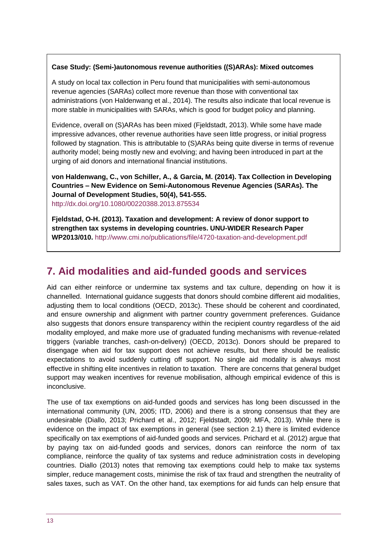#### **Case Study: (Semi-)autonomous revenue authorities ((S)ARAs): Mixed outcomes**

A study on local tax collection in Peru found that municipalities with semi-autonomous revenue agencies (SARAs) collect more revenue than those with conventional tax administrations (von Haldenwang et al., 2014). The results also indicate that local revenue is more stable in municipalities with SARAs, which is good for budget policy and planning.

Evidence, overall on (S)ARAs has been mixed (Fjeldstadt, 2013). While some have made impressive advances, other revenue authorities have seen little progress, or initial progress followed by stagnation. This is attributable to (S)ARAs being quite diverse in terms of revenue authority model; being mostly new and evolving; and having been introduced in part at the urging of aid donors and international financial institutions.

**von Haldenwang, C., von Schiller, A., & Garcia, M. (2014). Tax Collection in Developing Countries – New Evidence on Semi-Autonomous Revenue Agencies (SARAs). The Journal of Development Studies, 50(4), 541-555.** <http://dx.doi.org/10.1080/00220388.2013.875534>

**Fjeldstad, O-H. (2013). Taxation and development: A review of donor support to strengthen tax systems in developing countries. UNU-WIDER Research Paper WP2013/010.** <http://www.cmi.no/publications/file/4720-taxation-and-development.pdf>

# <span id="page-12-0"></span>**7. Aid modalities and aid-funded goods and services**

Aid can either reinforce or undermine tax systems and tax culture, depending on how it is channelled. International guidance suggests that donors should combine different aid modalities, adjusting them to local conditions (OECD, 2013c). These should be coherent and coordinated, and ensure ownership and alignment with partner country government preferences. Guidance also suggests that donors ensure transparency within the recipient country regardless of the aid modality employed, and make more use of graduated funding mechanisms with revenue-related triggers (variable tranches, cash-on-delivery) (OECD, 2013c). Donors should be prepared to disengage when aid for tax support does not achieve results, but there should be realistic expectations to avoid suddenly cutting off support. No single aid modality is always most effective in shifting elite incentives in relation to taxation. There are concerns that general budget support may weaken incentives for revenue mobilisation, although empirical evidence of this is inconclusive.

The use of tax exemptions on aid-funded goods and services has long been discussed in the international community (UN, 2005; ITD, 2006) and there is a strong consensus that they are undesirable (Diallo, 2013; Prichard et al., 2012; Fjeldstadt, 2009; MFA, 2013). While there is evidence on the impact of tax exemptions in general (see section 2.1) there is limited evidence specifically on tax exemptions of aid-funded goods and services. Prichard et al. (2012) argue that by paying tax on aid-funded goods and services, donors can reinforce the norm of tax compliance, reinforce the quality of tax systems and reduce administration costs in developing countries. Diallo (2013) notes that removing tax exemptions could help to make tax systems simpler, reduce management costs, minimise the risk of tax fraud and strengthen the neutrality of sales taxes, such as VAT. On the other hand, tax exemptions for aid funds can help ensure that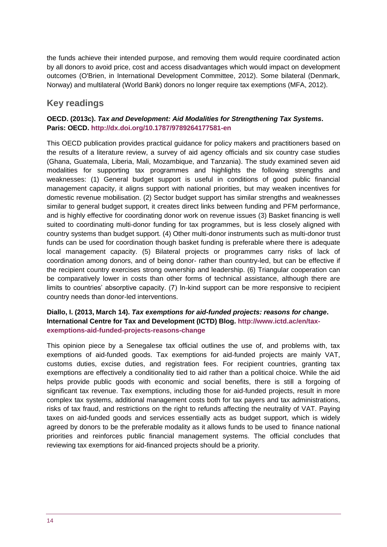the funds achieve their intended purpose, and removing them would require coordinated action by all donors to avoid price, cost and access disadvantages which would impact on development outcomes (O'Brien, in International Development Committee, 2012). Some bilateral (Denmark, Norway) and multilateral (World Bank) donors no longer require tax exemptions (MFA, 2012).

### **Key readings**

#### **OECD. (2013c).** *Tax and Development: Aid Modalities for Strengthening Tax Systems***. Paris: OECD.<http://dx.doi.org/10.1787/9789264177581-en>**

This OECD publication provides practical guidance for policy makers and practitioners based on the results of a literature review, a survey of aid agency officials and six country case studies (Ghana, Guatemala, Liberia, Mali, Mozambique, and Tanzania). The study examined seven aid modalities for supporting tax programmes and highlights the following strengths and weaknesses: (1) General budget support is useful in conditions of good public financial management capacity, it aligns support with national priorities, but may weaken incentives for domestic revenue mobilisation. (2) Sector budget support has similar strengths and weaknesses similar to general budget support, it creates direct links between funding and PFM performance, and is highly effective for coordinating donor work on revenue issues (3) Basket financing is well suited to coordinating multi-donor funding for tax programmes, but is less closely aligned with country systems than budget support. (4) Other multi-donor instruments such as multi-donor trust funds can be used for coordination though basket funding is preferable where there is adequate local management capacity. (5) Bilateral projects or programmes carry risks of lack of coordination among donors, and of being donor- rather than country-led, but can be effective if the recipient country exercises strong ownership and leadership. (6) Triangular cooperation can be comparatively lower in costs than other forms of technical assistance, although there are limits to countries' absorptive capacity. (7) In-kind support can be more responsive to recipient country needs than donor-led interventions.

#### **Diallo, I. (2013, March 14).** *Tax exemptions for aid-funded projects: reasons for change***. International Centre for Tax and Development (ICTD) Blog. [http://www.ictd.ac/en/tax](http://www.ictd.ac/en/tax-exemptions-aid-funded-projects-reasons-change)[exemptions-aid-funded-projects-reasons-change](http://www.ictd.ac/en/tax-exemptions-aid-funded-projects-reasons-change)**

This opinion piece by a Senegalese tax official outlines the use of, and problems with, tax exemptions of aid-funded goods. Tax exemptions for aid-funded projects are mainly VAT, customs duties, excise duties, and registration fees. For recipient countries, granting tax exemptions are effectively a conditionality tied to aid rather than a political choice. While the aid helps provide public goods with economic and social benefits, there is still a forgoing of significant tax revenue. Tax exemptions, including those for aid-funded projects, result in more complex tax systems, additional management costs both for tax payers and tax administrations, risks of tax fraud, and restrictions on the right to refunds affecting the neutrality of VAT. Paying taxes on aid-funded goods and services essentially acts as budget support, which is widely agreed by donors to be the preferable modality as it allows funds to be used to finance national priorities and reinforces public financial management systems. The official concludes that reviewing tax exemptions for aid-financed projects should be a priority.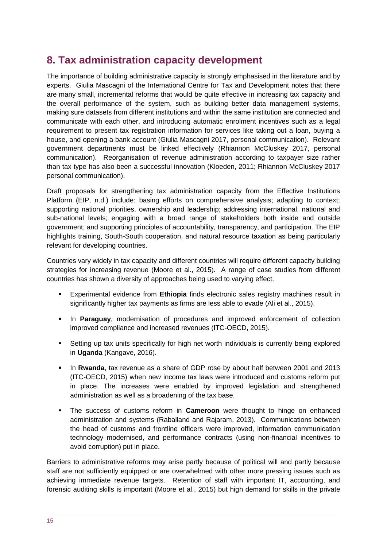# <span id="page-14-0"></span>**8. Tax administration capacity development**

The importance of building administrative capacity is strongly emphasised in the literature and by experts. Giulia Mascagni of the International Centre for Tax and Development notes that there are many small, incremental reforms that would be quite effective in increasing tax capacity and the overall performance of the system, such as building better data management systems, making sure datasets from different institutions and within the same institution are connected and communicate with each other, and introducing automatic enrolment incentives such as a legal requirement to present tax registration information for services like taking out a loan, buying a house, and opening a bank account (Giulia Mascagni 2017, personal communication). Relevant government departments must be linked effectively (Rhiannon McCluskey 2017, personal communication). Reorganisation of revenue administration according to taxpayer size rather than tax type has also been a successful innovation (Kloeden, 2011; Rhiannon McCluskey 2017 personal communication).

Draft proposals for strengthening tax administration capacity from the Effective Institutions Platform (EIP, n.d.) include: basing efforts on comprehensive analysis; adapting to context; supporting national priorities, ownership and leadership; addressing international, national and sub-national levels; engaging with a broad range of stakeholders both inside and outside government; and supporting principles of accountability, transparency, and participation. The EIP highlights training, South-South cooperation, and natural resource taxation as being particularly relevant for developing countries.

Countries vary widely in tax capacity and different countries will require different capacity building strategies for increasing revenue (Moore et al., 2015). A range of case studies from different countries has shown a diversity of approaches being used to varying effect.

- Experimental evidence from **Ethiopia** finds electronic sales registry machines result in significantly higher tax payments as firms are less able to evade (Ali et al., 2015).
- In **Paraguay**, modernisation of procedures and improved enforcement of collection improved compliance and increased revenues (ITC-OECD, 2015).
- Setting up tax units specifically for high net worth individuals is currently being explored in **Uganda** (Kangave, 2016).
- In **Rwanda**, tax revenue as a share of GDP rose by about half between 2001 and 2013 (ITC-OECD, 2015) when new income tax laws were introduced and customs reform put in place. The increases were enabled by improved legislation and strengthened administration as well as a broadening of the tax base.
- The success of customs reform in **Cameroon** were thought to hinge on enhanced administration and systems (Raballand and Rajaram, 2013). Communications between the head of customs and frontline officers were improved, information communication technology modernised, and performance contracts (using non-financial incentives to avoid corruption) put in place.

Barriers to administrative reforms may arise partly because of political will and partly because staff are not sufficiently equipped or are overwhelmed with other more pressing issues such as achieving immediate revenue targets. Retention of staff with important IT, accounting, and forensic auditing skills is important (Moore et al., 2015) but high demand for skills in the private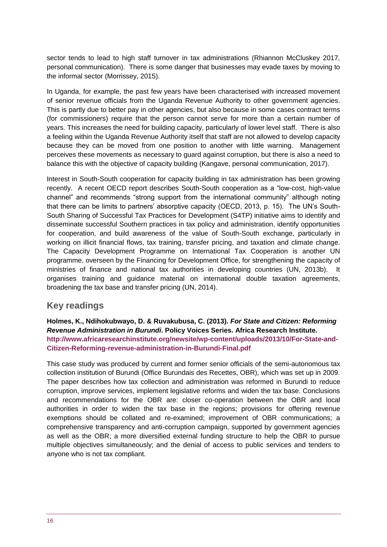sector tends to lead to high staff turnover in tax administrations (Rhiannon McCluskey 2017, personal communication). There is some danger that businesses may evade taxes by moving to the informal sector (Morrissey, 2015).

In Uganda, for example, the past few years have been characterised with increased movement of senior revenue officials from the Uganda Revenue Authority to other government agencies. This is partly due to better pay in other agencies, but also because in some cases contract terms (for commissioners) require that the person cannot serve for more than a certain number of years. This increases the need for building capacity, particularly of lower level staff. There is also a feeling within the Uganda Revenue Authority itself that staff are not allowed to develop capacity because they can be moved from one position to another with little warning. Management perceives these movements as necessary to guard against corruption, but there is also a need to balance this with the objective of capacity building (Kangave, personal communication, 2017).

Interest in South-South cooperation for capacity building in tax administration has been growing recently. A recent OECD report describes South-South cooperation as a "low-cost, high-value channel" and recommends "strong support from the international community" although noting that there can be limits to partners' absorptive capacity (OECD, 2013, p. 15). The UN's South-South Sharing of Successful Tax Practices for Development (S4TP) initiative aims to identify and disseminate successful Southern practices in tax policy and administration, identify opportunities for cooperation, and build awareness of the value of South-South exchange, particularly in working on illicit financial flows, tax training, transfer pricing, and taxation and climate change. The Capacity Development Programme on International Tax Cooperation is another UN programme, overseen by the Financing for Development Office, for strengthening the capacity of ministries of finance and national tax authorities in developing countries (UN, 2013b). It organises training and guidance material on international double taxation agreements, broadening the tax base and transfer pricing (UN, 2014).

### **Key readings**

**Holmes, K., Ndihokubwayo, D. & Ruvakubusa, C. (2013).** *For State and Citizen: Reforming Revenue Administration in Burundi***. Policy Voices Series. Africa Research Institute. [http://www.africaresearchinstitute.org/newsite/wp-content/uploads/2013/10/For-State-and-](http://www.africaresearchinstitute.org/newsite/wp-content/uploads/2013/10/For-State-and-Citizen-Reforming-revenue-administration-in-Burundi-Final.pdf)[Citizen-Reforming-revenue-administration-in-Burundi-Final.pdf](http://www.africaresearchinstitute.org/newsite/wp-content/uploads/2013/10/For-State-and-Citizen-Reforming-revenue-administration-in-Burundi-Final.pdf)**

This case study was produced by current and former senior officials of the semi-autonomous tax collection institution of Burundi (Office Burundais des Recettes, OBR), which was set up in 2009. The paper describes how tax collection and administration was reformed in Burundi to reduce corruption, improve services, implement legislative reforms and widen the tax base. Conclusions and recommendations for the OBR are: closer co-operation between the OBR and local authorities in order to widen the tax base in the regions; provisions for offering revenue exemptions should be collated and re-examined; improvement of OBR communications; a comprehensive transparency and anti-corruption campaign, supported by government agencies as well as the OBR; a more diversified external funding structure to help the OBR to pursue multiple objectives simultaneously; and the denial of access to public services and tenders to anyone who is not tax compliant.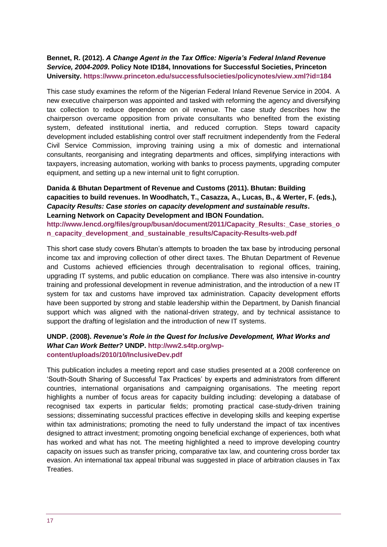#### **Bennet, R. (2012).** *A Change Agent in the Tax Office: Nigeria's Federal Inland Revenue Service, 2004-2009***. Policy Note ID184, Innovations for Successful Societies, Princeton University.<https://www.princeton.edu/successfulsocieties/policynotes/view.xml?id=184>**

This case study examines the reform of the Nigerian Federal Inland Revenue Service in 2004. A new executive chairperson was appointed and tasked with reforming the agency and diversifying tax collection to reduce dependence on oil revenue. The case study describes how the chairperson overcame opposition from private consultants who benefited from the existing system, defeated institutional inertia, and reduced corruption. Steps toward capacity development included establishing control over staff recruitment independently from the Federal Civil Service Commission, improving training using a mix of domestic and international consultants, reorganising and integrating departments and offices, simplifying interactions with taxpayers, increasing automation, working with banks to process payments, upgrading computer equipment, and setting up a new internal unit to fight corruption.

**Danida & Bhutan Department of Revenue and Customs (2011). Bhutan: Building capacities to build revenues. In Woodhatch, T., Casazza, A., Lucas, B., & Werter, F. (eds.),**  *Capacity Results: Case stories on capacity development and sustainable results***. Learning Network on Capacity Development and IBON Foundation. [http://www.lencd.org/files/group/busan/document/2011/Capacity\\_Results:\\_Case\\_stories\\_o](http://www.lencd.org/files/group/busan/document/2011/Capacity_Results:_Case_stories_on_capacity_development_and_sustainable_results/Capacity-Results-web.pdf) [n\\_capacity\\_development\\_and\\_sustainable\\_results/Capacity-Results-web.pdf](http://www.lencd.org/files/group/busan/document/2011/Capacity_Results:_Case_stories_on_capacity_development_and_sustainable_results/Capacity-Results-web.pdf)**

This short case study covers Bhutan's attempts to broaden the tax base by introducing personal income tax and improving collection of other direct taxes. The Bhutan Department of Revenue and Customs achieved efficiencies through decentralisation to regional offices, training, upgrading IT systems, and public education on compliance. There was also intensive in-country training and professional development in revenue administration, and the introduction of a new IT system for tax and customs have improved tax administration. Capacity development efforts have been supported by strong and stable leadership within the Department, by Danish financial support which was aligned with the national-driven strategy, and by technical assistance to support the drafting of legislation and the introduction of new IT systems.

#### **UNDP. (2008).** *Revenue's Role in the Quest for Inclusive Development, What Works and What Can Work Better?* **UNDP. [http://ww2.s4tp.org/wp](http://ww2.s4tp.org/wp-content/uploads/2010/10/InclusiveDev.pdf)[content/uploads/2010/10/InclusiveDev.pdf](http://ww2.s4tp.org/wp-content/uploads/2010/10/InclusiveDev.pdf)**

This publication includes a meeting report and case studies presented at a 2008 conference on 'South-South Sharing of Successful Tax Practices' by experts and administrators from different countries, international organisations and campaigning organisations. The meeting report highlights a number of focus areas for capacity building including: developing a database of recognised tax experts in particular fields; promoting practical case-study-driven training sessions; disseminating successful practices effective in developing skills and keeping expertise within tax administrations; promoting the need to fully understand the impact of tax incentives designed to attract investment; promoting ongoing beneficial exchange of experiences, both what has worked and what has not. The meeting highlighted a need to improve developing country capacity on issues such as transfer pricing, comparative tax law, and countering cross border tax evasion. An international tax appeal tribunal was suggested in place of arbitration clauses in Tax Treaties.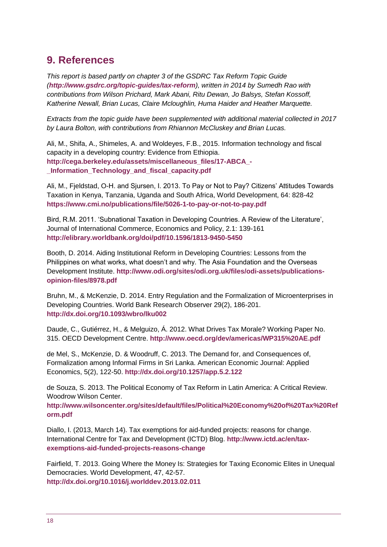# <span id="page-17-0"></span>**9. References**

*This report is based partly on chapter 3 of the GSDRC Tax Reform Topic Guide (<http://www.gsdrc.org/topic-guides/tax-reform>), written in 2014 by Sumedh Rao with contributions from Wilson Prichard, Mark Abani, Ritu Dewan, Jo Balsys, Stefan Kossoff, Katherine Newall, Brian Lucas, Claire Mcloughlin, Huma Haider and Heather Marquette.*

*Extracts from the topic guide have been supplemented with additional material collected in 2017 by Laura Bolton, with contributions from Rhiannon McCluskey and Brian Lucas.*

Ali, M., Shifa, A., Shimeles, A. and Woldeyes, F.B., 2015. Information technology and fiscal capacity in a developing country: Evidence from Ethiopia. **[http://cega.berkeley.edu/assets/miscellaneous\\_files/17-ABCA\\_-](http://cega.berkeley.edu/assets/miscellaneous_files/17-ABCA_-_Information_Technology_and_fiscal_capacity.pdf) [\\_Information\\_Technology\\_and\\_fiscal\\_capacity.pdf](http://cega.berkeley.edu/assets/miscellaneous_files/17-ABCA_-_Information_Technology_and_fiscal_capacity.pdf)**

Ali, M., Fjeldstad, O-H. and Sjursen, I. 2013. To Pay or Not to Pay? Citizens' Attitudes Towards Taxation in Kenya, Tanzania, Uganda and South Africa, World Development, 64: 828-42 **<https://www.cmi.no/publications/file/5026-1-to-pay-or-not-to-pay.pdf>**

Bird, R.M. 2011. 'Subnational Taxation in Developing Countries. A Review of the Literature', Journal of International Commerce, Economics and Policy, 2.1: 139-161 **<http://elibrary.worldbank.org/doi/pdf/10.1596/1813-9450-5450>**

Booth, D. 2014. Aiding Institutional Reform in Developing Countries: Lessons from the Philippines on what works, what doesn't and why. The Asia Foundation and the Overseas Development Institute. **[http://www.odi.org/sites/odi.org.uk/files/odi-assets/publications](http://www.odi.org/sites/odi.org.uk/files/odi-assets/publications-opinion-files/8978.pdf)[opinion-files/8978.pdf](http://www.odi.org/sites/odi.org.uk/files/odi-assets/publications-opinion-files/8978.pdf)**

Bruhn, M., & McKenzie, D. 2014. Entry Regulation and the Formalization of Microenterprises in Developing Countries. World Bank Research Observer 29(2), 186-201. **<http://dx.doi.org/10.1093/wbro/lku002>**

Daude, C., Gutiérrez, H., & Melguizo, Á. 2012. What Drives Tax Morale? Working Paper No. 315. OECD Development Centre. **<http://www.oecd.org/dev/americas/WP315%20AE.pdf>**

de Mel, S., McKenzie, D. & Woodruff, C. 2013. The Demand for, and Consequences of, Formalization among Informal Firms in Sri Lanka. American Economic Journal: Applied Economics, 5(2), 122-50. **<http://dx.doi.org/10.1257/app.5.2.122>**

de Souza, S. 2013. The Political Economy of Tax Reform in Latin America: A Critical Review. Woodrow Wilson Center

**[http://www.wilsoncenter.org/sites/default/files/Political%20Economy%20of%20Tax%20Ref](http://www.wilsoncenter.org/sites/default/files/Political%20Economy%20of%20Tax%20Reform.pdf) [orm.pdf](http://www.wilsoncenter.org/sites/default/files/Political%20Economy%20of%20Tax%20Reform.pdf)**

Diallo, I. (2013, March 14). Tax exemptions for aid-funded projects: reasons for change. International Centre for Tax and Development (ICTD) Blog. **[http://www.ictd.ac/en/tax](http://www.ictd.ac/en/tax-exemptions-aid-funded-projects-reasons-change)[exemptions-aid-funded-projects-reasons-change](http://www.ictd.ac/en/tax-exemptions-aid-funded-projects-reasons-change)**

Fairfield, T. 2013. Going Where the Money Is: Strategies for Taxing Economic Elites in Unequal Democracies. World Development, 47, 42-57. **<http://dx.doi.org/10.1016/j.worlddev.2013.02.011>**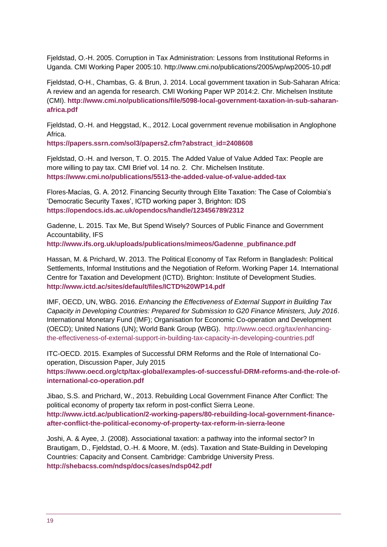Fjeldstad, O.-H. 2005. Corruption in Tax Administration: Lessons from Institutional Reforms in Uganda. CMI Working Paper 2005:10. http://www.cmi.no/publications/2005/wp/wp2005-10.pdf

Fjeldstad, O-H., Chambas, G. & Brun, J. 2014. Local government taxation in Sub-Saharan Africa: A review and an agenda for research. CMI Working Paper WP 2014:2. Chr. Michelsen Institute (CMI). **[http://www.cmi.no/publications/file/5098-local-government-taxation-in-sub-saharan](http://www.cmi.no/publications/file/5098-local-government-taxation-in-sub-saharan-africa.pdf)[africa.pdf](http://www.cmi.no/publications/file/5098-local-government-taxation-in-sub-saharan-africa.pdf)**

Fjeldstad, O.-H. and Heggstad, K., 2012. Local government revenue mobilisation in Anglophone Africa.

**[https://papers.ssrn.com/sol3/papers2.cfm?abstract\\_id=2408608](https://papers.ssrn.com/sol3/papers2.cfm?abstract_id=2408608)**

Fjeldstad, O.-H. and Iverson, T. O. 2015. The Added Value of Value Added Tax: People are more willing to pay tax. CMI Brief vol. 14 no. 2. Chr. Michelsen Institute. **<https://www.cmi.no/publications/5513-the-added-value-of-value-added-tax>**

Flores-Macías, G. A. 2012. Financing Security through Elite Taxation: The Case of Colombia's 'Democratic Security Taxes', ICTD working paper 3, Brighton: IDS **<https://opendocs.ids.ac.uk/opendocs/handle/123456789/2312>**

Gadenne, L. 2015. Tax Me, But Spend Wisely? Sources of Public Finance and Government Accountability, IFS

**[http://www.ifs.org.uk/uploads/publications/mimeos/Gadenne\\_pubfinance.pdf](http://www.ifs.org.uk/uploads/publications/mimeos/Gadenne_pubfinance.pdf)**

Hassan, M. & Prichard, W. 2013. The Political Economy of Tax Reform in Bangladesh: Political Settlements, Informal Institutions and the Negotiation of Reform. Working Paper 14. International Centre for Taxation and Development (ICTD). Brighton: Institute of Development Studies. **<http://www.ictd.ac/sites/default/files/ICTD%20WP14.pdf>**

IMF, OECD, UN, WBG. 2016. *Enhancing the Effectiveness of External Support in Building Tax Capacity in Developing Countries: Prepared for Submission to G20 Finance Ministers, July 2016*. International Monetary Fund (IMF); Organisation for Economic Co-operation and Development (OECD); United Nations (UN); World Bank Group (WBG). [http://www.oecd.org/tax/enhancing](http://www.oecd.org/tax/enhancing-the-effectiveness-of-external-support-in-building-tax-capacity-in-developing-countries.pdf)[the-effectiveness-of-external-support-in-building-tax-capacity-in-developing-countries.pdf](http://www.oecd.org/tax/enhancing-the-effectiveness-of-external-support-in-building-tax-capacity-in-developing-countries.pdf)

ITC-OECD. 2015. Examples of Successful DRM Reforms and the Role of International Cooperation, Discussion Paper, July 2015

**[https://www.oecd.org/ctp/tax-global/examples-of-successful-DRM-reforms-and-the-role-of](https://www.oecd.org/ctp/tax-global/examples-of-successful-DRM-reforms-and-the-role-of-international-co-operation.pdf)[international-co-operation.pdf](https://www.oecd.org/ctp/tax-global/examples-of-successful-DRM-reforms-and-the-role-of-international-co-operation.pdf)**

Jibao, S.S. and Prichard, W., 2013. Rebuilding Local Government Finance After Conflict: The political economy of property tax reform in post-conflict Sierra Leone. **[http://www.ictd.ac/publication/2-working-papers/80-rebuilding-local-government-finance](http://www.ictd.ac/publication/2-working-papers/80-rebuilding-local-government-finance-after-conflict-the-political-economy-of-property-tax-reform-in-sierra-leone)[after-conflict-the-political-economy-of-property-tax-reform-in-sierra-leone](http://www.ictd.ac/publication/2-working-papers/80-rebuilding-local-government-finance-after-conflict-the-political-economy-of-property-tax-reform-in-sierra-leone)**

Joshi, A. & Ayee, J. (2008). Associational taxation: a pathway into the informal sector? In Brautigam, D., Fjeldstad, O.-H. & Moore, M. (eds). Taxation and State-Building in Developing Countries: Capacity and Consent. Cambridge: Cambridge University Press. **<http://shebacss.com/ndsp/docs/cases/ndsp042.pdf>**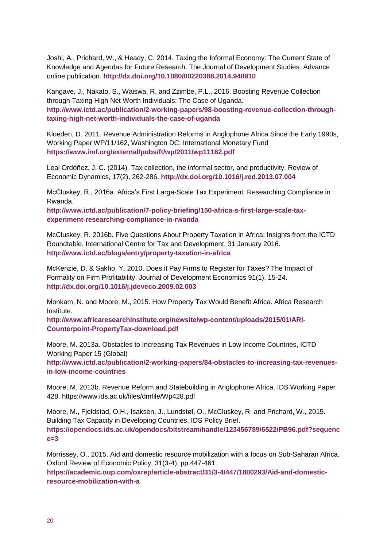Joshi, A., Prichard, W., & Heady, C. 2014. Taxing the Informal Economy: The Current State of Knowledge and Agendas for Future Research. The Journal of Development Studies. Advance online publication. **<http://dx.doi.org/10.1080/00220388.2014.940910>**

Kangave, J., Nakato, S., Waiswa, R. and Zzimbe, P.L., 2016. Boosting Revenue Collection through Taxing High Net Worth Individuals: The Case of Uganda. **[http://www.ictd.ac/publication/2-working-papers/98-boosting-revenue-collection-through](http://www.ictd.ac/publication/2-working-papers/98-boosting-revenue-collection-through-taxing-high-net-worth-individuals-the-case-of-uganda)[taxing-high-net-worth-individuals-the-case-of-uganda](http://www.ictd.ac/publication/2-working-papers/98-boosting-revenue-collection-through-taxing-high-net-worth-individuals-the-case-of-uganda)**

Kloeden, D. 2011. Revenue Administration Reforms in Anglophone Africa Since the Early 1990s, Working Paper WP/11/162, Washington DC: International Monetary Fund **<https://www.imf.org/external/pubs/ft/wp/2011/wp11162.pdf>**

Leal Ordóñez, J. C. (2014). Tax collection, the informal sector, and productivity. Review of Economic Dynamics, 17(2), 262-286. **<http://dx.doi.org/10.1016/j.red.2013.07.004>**

McCluskey, R., 2016a. Africa's First Large-Scale Tax Experiment: Researching Compliance in Rwanda.

**[http://www.ictd.ac/publication/7-policy-briefing/150-africa-s-first-large-scale-tax](http://www.ictd.ac/publication/7-policy-briefing/150-africa-s-first-large-scale-tax-experiment-researching-compliance-in-rwanda)[experiment-researching-compliance-in-rwanda](http://www.ictd.ac/publication/7-policy-briefing/150-africa-s-first-large-scale-tax-experiment-researching-compliance-in-rwanda)**

McCluskey, R. 2016b. Five Questions About Property Taxation in Africa: Insights from the ICTD Roundtable. International Centre for Tax and Development, 31 January 2016. **<http://www.ictd.ac/blogs/entry/property-taxation-in-africa>**

McKenzie, D. & Sakho, Y. 2010. Does it Pay Firms to Register for Taxes? The Impact of Formality on Firm Profitability. Journal of Development Economics 91(1), 15-24. **<http://dx.doi.org/10.1016/j.jdeveco.2009.02.003>**

Monkam, N. and Moore, M., 2015. How Property Tax Would Benefit Africa. Africa Research Institute.

**[http://www.africaresearchinstitute.org/newsite/wp-content/uploads/2015/01/ARI-](http://www.africaresearchinstitute.org/newsite/wp-content/uploads/2015/01/ARI-Counterpoint-PropertyTax-download.pdf)[Counterpoint-PropertyTax-download.pdf](http://www.africaresearchinstitute.org/newsite/wp-content/uploads/2015/01/ARI-Counterpoint-PropertyTax-download.pdf)**

Moore, M. 2013a. Obstacles to Increasing Tax Revenues in Low Income Countries, ICTD Working Paper 15 (Global)

**[http://www.ictd.ac/publication/2-working-papers/84-obstacles-to-increasing-tax-revenues](http://www.ictd.ac/publication/2-working-papers/84-obstacles-to-increasing-tax-revenues-in-low-income-countries)[in-low-income-countries](http://www.ictd.ac/publication/2-working-papers/84-obstacles-to-increasing-tax-revenues-in-low-income-countries)**

Moore, M. 2013b. Revenue Reform and Statebuilding in Anglophone Africa. IDS Working Paper 428. https://www.ids.ac.uk/files/dmfile/Wp428.pdf

Moore, M., Fjeldstad, O.H., Isaksen, J., Lundstøl, O., McCluskey, R. and Prichard, W., 2015. Building Tax Capacity in Developing Countries. IDS Policy Brief. **[https://opendocs.ids.ac.uk/opendocs/bitstream/handle/123456789/6522/PB96.pdf?sequenc](https://opendocs.ids.ac.uk/opendocs/bitstream/handle/123456789/6522/PB96.pdf?sequence=3) [e=3](https://opendocs.ids.ac.uk/opendocs/bitstream/handle/123456789/6522/PB96.pdf?sequence=3)**

Morrissey, O., 2015. Aid and domestic resource mobilization with a focus on Sub-Saharan Africa. Oxford Review of Economic Policy, 31(3-4), pp.447-461.

**[https://academic.oup.com/oxrep/article-abstract/31/3-4/447/1800293/Aid-and-domestic](https://academic.oup.com/oxrep/article-abstract/31/3-4/447/1800293/Aid-and-domestic-resource-mobilization-with-a)[resource-mobilization-with-a](https://academic.oup.com/oxrep/article-abstract/31/3-4/447/1800293/Aid-and-domestic-resource-mobilization-with-a)**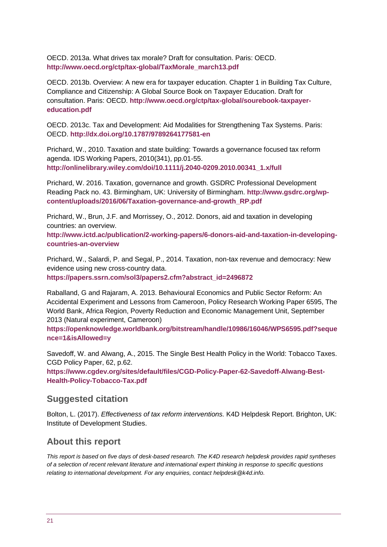OECD. 2013a. What drives tax morale? Draft for consultation. Paris: OECD. **[http://www.oecd.org/ctp/tax-global/TaxMorale\\_march13.pdf](http://www.oecd.org/ctp/tax-global/TaxMorale_march13.pdf)**

OECD. 2013b. Overview: A new era for taxpayer education. Chapter 1 in Building Tax Culture, Compliance and Citizenship: A Global Source Book on Taxpayer Education. Draft for consultation. Paris: OECD. **[http://www.oecd.org/ctp/tax-global/sourebook-taxpayer](http://www.oecd.org/ctp/tax-global/sourebook-taxpayer-education.pdf)[education.pdf](http://www.oecd.org/ctp/tax-global/sourebook-taxpayer-education.pdf)**

OECD. 2013c. Tax and Development: Aid Modalities for Strengthening Tax Systems. Paris: OECD. **<http://dx.doi.org/10.1787/9789264177581-en>**

Prichard, W., 2010. Taxation and state building: Towards a governance focused tax reform agenda. IDS Working Papers, 2010(341), pp.01-55. **[http://onlinelibrary.wiley.com/doi/10.1111/j.2040-0209.2010.00341\\_1.x/full](http://onlinelibrary.wiley.com/doi/10.1111/j.2040-0209.2010.00341_1.x/full)**

Prichard, W. 2016. Taxation, governance and growth. GSDRC Professional Development Reading Pack no. 43. Birmingham, UK: University of Birmingham. **[http://www.gsdrc.org/wp](http://www.gsdrc.org/wp-content/uploads/2016/06/Taxation-governance-and-growth_RP.pdf)[content/uploads/2016/06/Taxation-governance-and-growth\\_RP.pdf](http://www.gsdrc.org/wp-content/uploads/2016/06/Taxation-governance-and-growth_RP.pdf)**

Prichard, W., Brun, J.F. and Morrissey, O., 2012. Donors, aid and taxation in developing countries: an overview.

**[http://www.ictd.ac/publication/2-working-papers/6-donors-aid-and-taxation-in-developing](http://www.ictd.ac/publication/2-working-papers/6-donors-aid-and-taxation-in-developing-countries-an-overview)[countries-an-overview](http://www.ictd.ac/publication/2-working-papers/6-donors-aid-and-taxation-in-developing-countries-an-overview)**

Prichard, W., Salardi, P. and Segal, P., 2014. Taxation, non-tax revenue and democracy: New evidence using new cross-country data.

**[https://papers.ssrn.com/sol3/papers2.cfm?abstract\\_id=2496872](https://papers.ssrn.com/sol3/papers2.cfm?abstract_id=2496872)**

Raballand, G and Rajaram, A. 2013. Behavioural Economics and Public Sector Reform: An Accidental Experiment and Lessons from Cameroon, Policy Research Working Paper 6595, The World Bank, Africa Region, Poverty Reduction and Economic Management Unit, September 2013 (Natural experiment, Cameroon)

**[https://openknowledge.worldbank.org/bitstream/handle/10986/16046/WPS6595.pdf?seque](https://openknowledge.worldbank.org/bitstream/handle/10986/16046/WPS6595.pdf?sequence=1&isAllowed=y) [nce=1&isAllowed=y](https://openknowledge.worldbank.org/bitstream/handle/10986/16046/WPS6595.pdf?sequence=1&isAllowed=y)**

Savedoff, W. and Alwang, A., 2015. The Single Best Health Policy in the World: Tobacco Taxes. CGD Policy Paper, 62, p.62.

**[https://www.cgdev.org/sites/default/files/CGD-Policy-Paper-62-Savedoff-Alwang-Best-](https://www.cgdev.org/sites/default/files/CGD-Policy-Paper-62-Savedoff-Alwang-Best-Health-Policy-Tobacco-Tax.pdf)[Health-Policy-Tobacco-Tax.pdf](https://www.cgdev.org/sites/default/files/CGD-Policy-Paper-62-Savedoff-Alwang-Best-Health-Policy-Tobacco-Tax.pdf)**

#### **Suggested citation**

Bolton, L. (2017). *Effectiveness of tax reform interventions.* K4D Helpdesk Report. Brighton, UK: Institute of Development Studies.

### **About this report**

*This report is based on five days of desk-based research. The K4D research helpdesk provides rapid syntheses of a selection of recent relevant literature and international expert thinking in response to specific questions relating to international development. For any enquiries, contact helpdesk@k4d.info.*